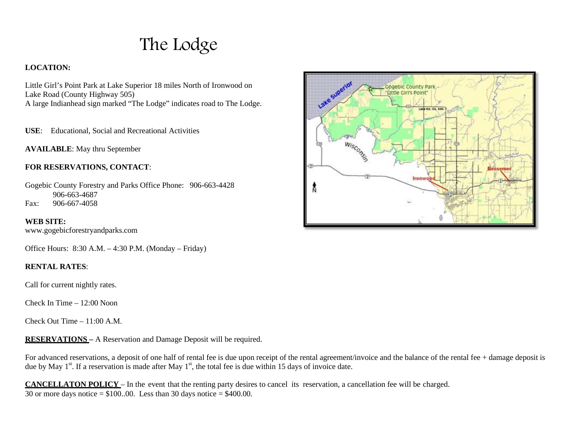The Lodge

## **LOCATION:**

Little Girl's Point Park at Lake Superior 18 miles North of Ironwood on Lake Road (County Highway 505)

A large Indianhead sign marked "The Lodge" indicates road to The Lodge.

**USE**: Educational, Social and Recreational Activities

**AVAILABLE**: May thru September

## **FOR RESERVATIONS, CONTACT**:

Gogebic County Forestry and Parks Office Phone: 906-663-4428 906-663-4687 Fax: 906-667-4058

**WEB SITE:** [www.gogebicforestryandparks.com](http://www.gogebicforestryandparks.com/)

Office Hours: 8:30 A.M. – 4:30 P.M. (Monday – Friday)

## **RENTAL RATES**:

Call for current nightly rates.

Check In Time  $= 12:00$  Noon

Check Out Time – 11:00 A.M.

**RESERVATIONS –** A Reservation and Damage Deposit will be required.

For advanced reservations, a deposit of one half of rental fee is due upon receipt of the rental agreement/invoice and the balance of the rental fee + damage deposit is due by May  $1^{st}$ . If a reservation is made after May  $1^{st}$ , the total fee is due within 15 days of invoice date.

**CANCELLATON POLICY** – In the event that the renting party desires to cancel its reservation, a cancellation fee will be charged. 30 or more days notice  $= $100..00$ . Less than 30 days notice  $= $400.00$ .